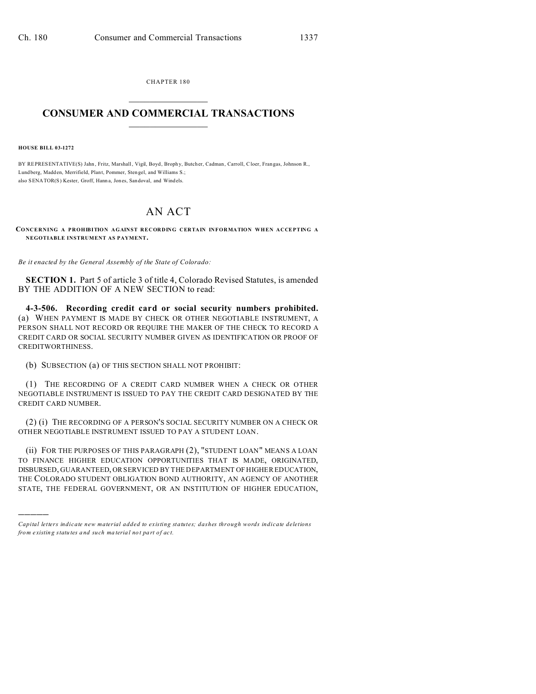CHAPTER 180  $\overline{\phantom{a}}$  , where  $\overline{\phantom{a}}$ 

## **CONSUMER AND COMMERCIAL TRANSACTIONS**  $\_$   $\_$   $\_$   $\_$   $\_$   $\_$   $\_$   $\_$

**HOUSE BILL 03-1272**

)))))

BY REPRESENTATIVE(S) Jahn, Fritz, Marshall, Vigil, Boyd, Brophy, Butcher, Cadman, Carroll, Cloer, Frangas, Johnson R., Lundberg, Madden, Merrifield, Plant, Pommer, Sten gel, and Williams S.; also SENATOR(S) Kester, Groff, Hann a, Jones, Sandoval, and Windels.

## AN ACT

**CONCERNING A PROHIBITION AGAINST RECORDING CERTAIN INFORMATION WHEN ACCEPTING A NEGOTIABLE INSTRUMENT AS PAYMENT.**

*Be it enacted by the General Assembly of the State of Colorado:*

**SECTION 1.** Part 5 of article 3 of title 4, Colorado Revised Statutes, is amended BY THE ADDITION OF A NEW SECTION to read:

**4-3-506. Recording credit card or social security numbers prohibited.** (a) WHEN PAYMENT IS MADE BY CHECK OR OTHER NEGOTIABLE INSTRUMENT, A PERSON SHALL NOT RECORD OR REQUIRE THE MAKER OF THE CHECK TO RECORD A CREDIT CARD OR SOCIAL SECURITY NUMBER GIVEN AS IDENTIFICATION OR PROOF OF CREDITWORTHINESS.

(b) SUBSECTION (a) OF THIS SECTION SHALL NOT PROHIBIT:

(1) THE RECORDING OF A CREDIT CARD NUMBER WHEN A CHECK OR OTHER NEGOTIABLE INSTRUMENT IS ISSUED TO PAY THE CREDIT CARD DESIGNATED BY THE CREDIT CARD NUMBER.

(2) (i) THE RECORDING OF A PERSON'S SOCIAL SECURITY NUMBER ON A CHECK OR OTHER NEGOTIABLE INSTRUMENT ISSUED TO PAY A STUDENT LOAN.

(ii) FOR THE PURPOSES OF THIS PARAGRAPH (2), "STUDENT LOAN" MEANS A LOAN TO FINANCE HIGHER EDUCATION OPPORTUNITIES THAT IS MADE, ORIGINATED, DISBURSED, GUARANTEED, OR SERVICED BY THE DEPARTMENT OF HIGHER EDUCATION, THE COLORADO STUDENT OBLIGATION BOND AUTHORITY, AN AGENCY OF ANOTHER STATE, THE FEDERAL GOVERNMENT, OR AN INSTITUTION OF HIGHER EDUCATION,

*Capital letters indicate new material added to existing statutes; dashes through words indicate deletions from e xistin g statu tes a nd such ma teria l no t pa rt of ac t.*